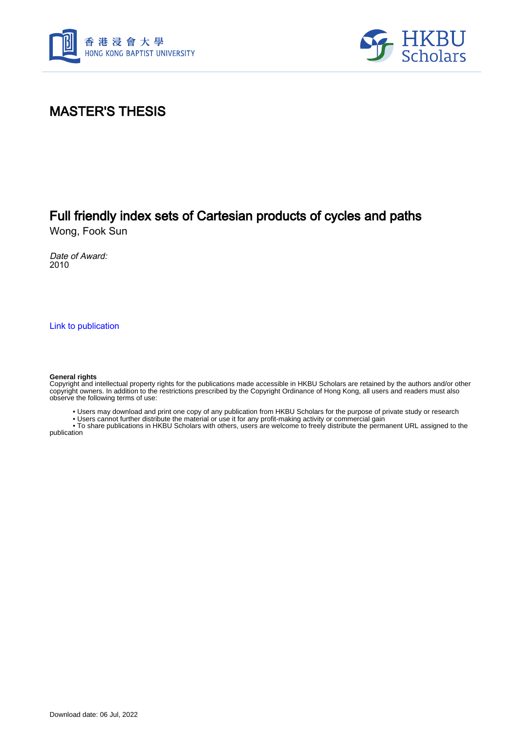



### MASTER'S THESIS

## Full friendly index sets of Cartesian products of cycles and paths

Wong, Fook Sun

Date of Award: 2010

[Link to publication](https://scholars.hkbu.edu.hk/en/studentTheses/3dd61b89-20b2-4959-94bc-59a40674b3f9)

#### **General rights**

Copyright and intellectual property rights for the publications made accessible in HKBU Scholars are retained by the authors and/or other copyright owners. In addition to the restrictions prescribed by the Copyright Ordinance of Hong Kong, all users and readers must also observe the following terms of use:

• Users may download and print one copy of any publication from HKBU Scholars for the purpose of private study or research

• Users cannot further distribute the material or use it for any profit-making activity or commercial gain

 • To share publications in HKBU Scholars with others, users are welcome to freely distribute the permanent URL assigned to the publication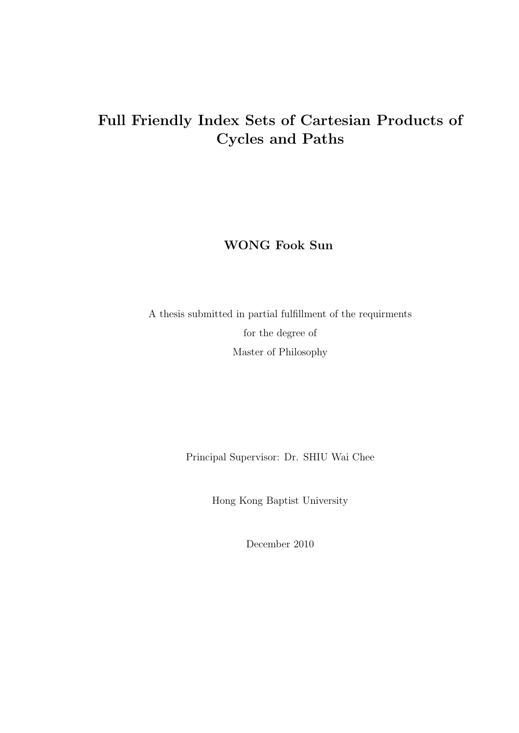# **Full Friendly Index Sets of Cartesian Products of Cycles and Paths**

**WONG Fook Sun**

A thesis submitted in partial fulfillment of the requirments for the degree of Master of Philosophy

Principal Supervisor: Dr. SHIU Wai Chee

Hong Kong Baptist University

December 2010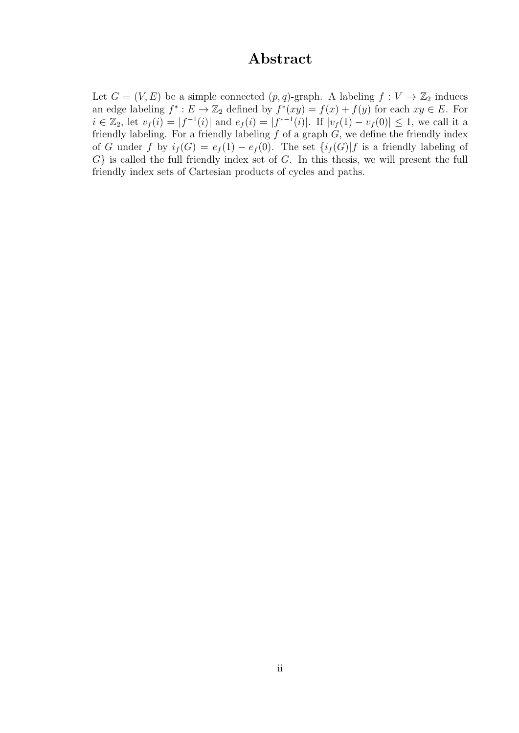#### **Abstract**

Let  $G = (V, E)$  be a simple connected  $(p, q)$ -graph. A labeling  $f : V \to \mathbb{Z}_2$  induces an edge labeling  $f^* : E \to \mathbb{Z}_2$  defined by  $f^*(xy) = f(x) + f(y)$  for each  $xy \in E$ . For  $i \in \mathbb{Z}_2$ , let  $v_f(i) = |f^{-1}(i)|$  and  $e_f(i) = |f^{*-1}(i)|$ . If  $|v_f(1) - v_f(0)| \leq 1$ , we call it a friendly labeling. For a friendly labeling *f* of a graph *G*, we define the friendly index of *G* under *f* by  $i_f(G) = e_f(1) - e_f(0)$ . The set  $\{i_f(G)|f \text{ is a friendly labeling of } f \text{ is a friendly labeling of } f \text{ is a friendly labeling of } f \text{ is a friendly labeling of } f \text{ is a friendly labeling of } f \text{ is a friendly labeling of } f \text{ is a friendly labeling of } f \text{ is a friendly labeling of } f \text{ is a friendly labeling of } f \text{ is a friendly labeling of } f \text{ is a friendly labeling of } f \text{ is a friendly labeling of } f \text{ is a friendly labeling of } f \text{ is a friendly labeling of } f \text{ is a friendly labeling of } f \text{ is a friendly labeling of } f \text{ is a$ *G}* is called the full friendly index set of *G*. In this thesis, we will present the full friendly index sets of Cartesian products of cycles and paths.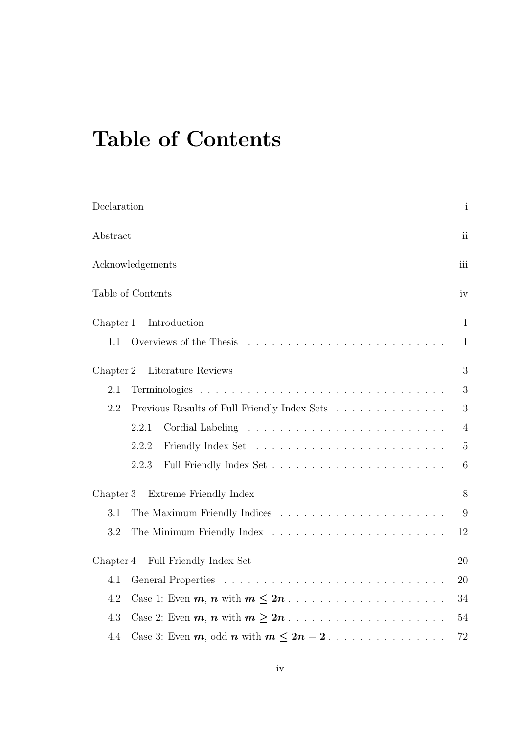# **Table of Contents**

| Declaration                                         |                                               | $\mathbf{i}$   |
|-----------------------------------------------------|-----------------------------------------------|----------------|
| Abstract                                            |                                               | ii             |
| Acknowledgements                                    |                                               | iii            |
| Table of Contents                                   |                                               | iv             |
| Chapter 1                                           | Introduction                                  | $\mathbf{1}$   |
| 1.1                                                 | Overviews of the Thesis                       | $\mathbf{1}$   |
| Chapter 2                                           | Literature Reviews                            | 3              |
| 2.1                                                 |                                               | 3              |
| 2.2<br>Previous Results of Full Friendly Index Sets |                                               | 3              |
| 2.2.1                                               |                                               | $\overline{4}$ |
| 2.2.2                                               |                                               | $5\,$          |
| 2.2.3                                               |                                               | 6              |
| Extreme Friendly Index<br>Chapter 3                 |                                               | 8              |
| 3.1                                                 |                                               | 9              |
| 3.2                                                 |                                               | 12             |
| Chapter 4                                           | Full Friendly Index Set                       | 20             |
| 4.1                                                 |                                               | 20             |
| 4.2                                                 |                                               | 34             |
| 4.3                                                 |                                               | 54             |
| 4.4                                                 | Case 3: Even $m$ , odd $n$ with $m \leq 2n-2$ | 72             |